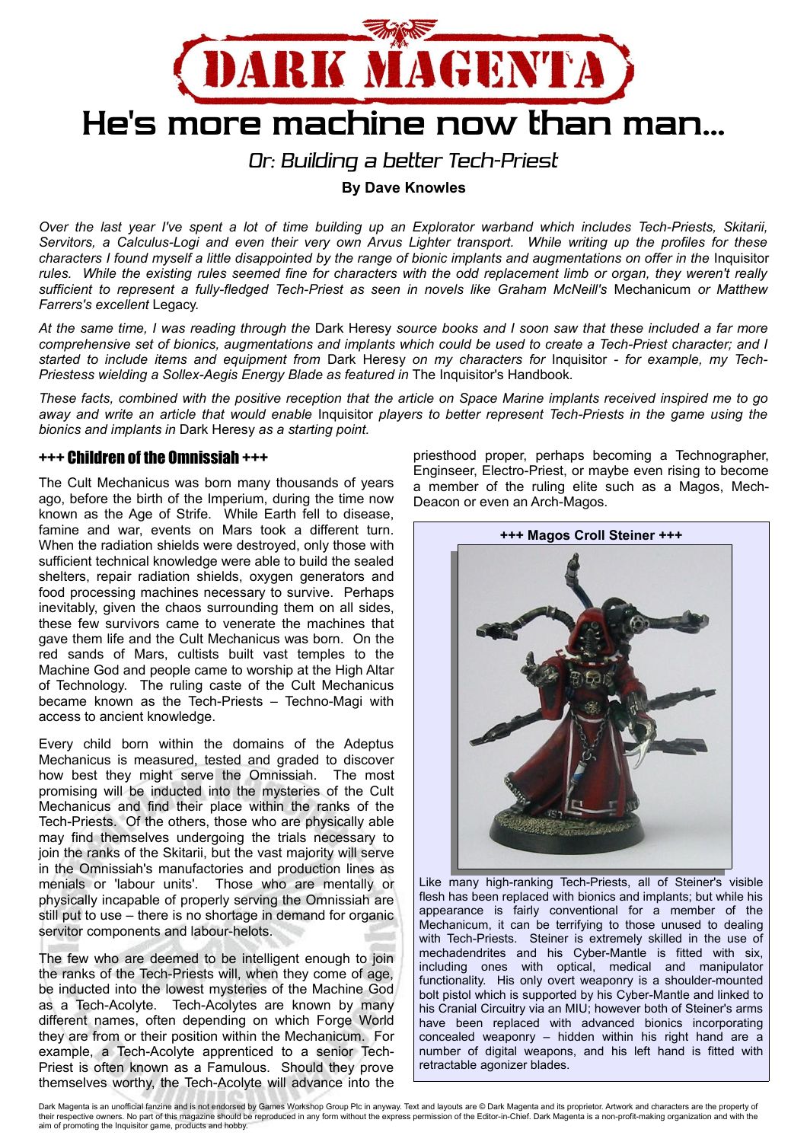

*Or: Building a better Tech-Priest*

**By Dave Knowles**

*Over the last year I've spent a lot of time building up an Explorator warband which includes Tech-Priests, Skitarii, Servitors, a Calculus-Logi and even their very own Arvus Lighter transport. While writing up the profiles for these* characters I found myself a little disappointed by the range of bionic implants and augmentations on offer in the Inquisitor *rules. While the existing rules seemed fine for characters with the odd replacement limb or organ, they weren't really sufficient to represent a fully-fledged Tech-Priest as seen in novels like Graham McNeill's* Mechanicum *or Matthew Farrers's excellent* Legacy*.*

*At the same time, I was reading through the* Dark Heresy *source books and I soon saw that these included a far more comprehensive set of bionics, augmentations and implants which could be used to create a Tech-Priest character; and I started to include items and equipment from* Dark Heresy *on my characters for* Inquisitor *- for example, my Tech-Priestess wielding a Sollex-Aegis Energy Blade as featured in* The Inquisitor's Handbook*.*

*These facts, combined with the positive reception that the article on Space Marine implants received inspired me to go away and write an article that would enable* Inquisitor *players to better represent Tech-Priests in the game using the bionics and implants in* Dark Heresy *as a starting point.*

# +++ Children of the Omnissiah +++

The Cult Mechanicus was born many thousands of years ago, before the birth of the Imperium, during the time now known as the Age of Strife. While Earth fell to disease, famine and war, events on Mars took a different turn. When the radiation shields were destroyed, only those with sufficient technical knowledge were able to build the sealed shelters, repair radiation shields, oxygen generators and food processing machines necessary to survive. Perhaps inevitably, given the chaos surrounding them on all sides, these few survivors came to venerate the machines that gave them life and the Cult Mechanicus was born. On the red sands of Mars, cultists built vast temples to the Machine God and people came to worship at the High Altar of Technology. The ruling caste of the Cult Mechanicus became known as the Tech-Priests – Techno-Magi with access to ancient knowledge.

Every child born within the domains of the Adeptus Mechanicus is measured, tested and graded to discover how best they might serve the Omnissiah. The most promising will be inducted into the mysteries of the Cult Mechanicus and find their place within the ranks of the Tech-Priests. Of the others, those who are physically able may find themselves undergoing the trials necessary to join the ranks of the Skitarii, but the vast majority will serve in the Omnissiah's manufactories and production lines as menials or 'labour units'. Those who are mentally or physically incapable of properly serving the Omnissiah are still put to use – there is no shortage in demand for organic servitor components and labour-helots.

The few who are deemed to be intelligent enough to join the ranks of the Tech-Priests will, when they come of age, be inducted into the lowest mysteries of the Machine God as a Tech-Acolyte. Tech-Acolytes are known by many different names, often depending on which Forge World they are from or their position within the Mechanicum. For example, a Tech-Acolyte apprenticed to a senior Tech-Priest is often known as a Famulous. Should they prove themselves worthy, the Tech-Acolyte will advance into the

priesthood proper, perhaps becoming a Technographer, Enginseer, Electro-Priest, or maybe even rising to become a member of the ruling elite such as a Magos, Mech-Deacon or even an Arch-Magos.



Like many high-ranking Tech-Priests, all of Steiner's visible flesh has been replaced with bionics and implants; but while his appearance is fairly conventional for a member of the Mechanicum, it can be terrifying to those unused to dealing with Tech-Priests. Steiner is extremely skilled in the use of mechadendrites and his Cyber-Mantle is fitted with six, including ones with optical, medical and manipulator functionality. His only overt weaponry is a shoulder-mounted bolt pistol which is supported by his Cyber-Mantle and linked to his Cranial Circuitry via an MIU; however both of Steiner's arms have been replaced with advanced bionics incorporating concealed weaponry – hidden within his right hand are a number of digital weapons, and his left hand is fitted with retractable agonizer blades.

Dark Magenta is an unofficial fanzine and is not endorsed by Games Workshop Group Plc in anyway. Text and layouts are @ Dark Magenta and its proprietor. Artwork and characters are the property of their respective owners. No part of this magazine should be reproduced in any form without the express permission of the Editor-in-Chief. Dark Magenta is a non-profit-making organization and with the aim of promoting the Inquisitor game, products and hobby.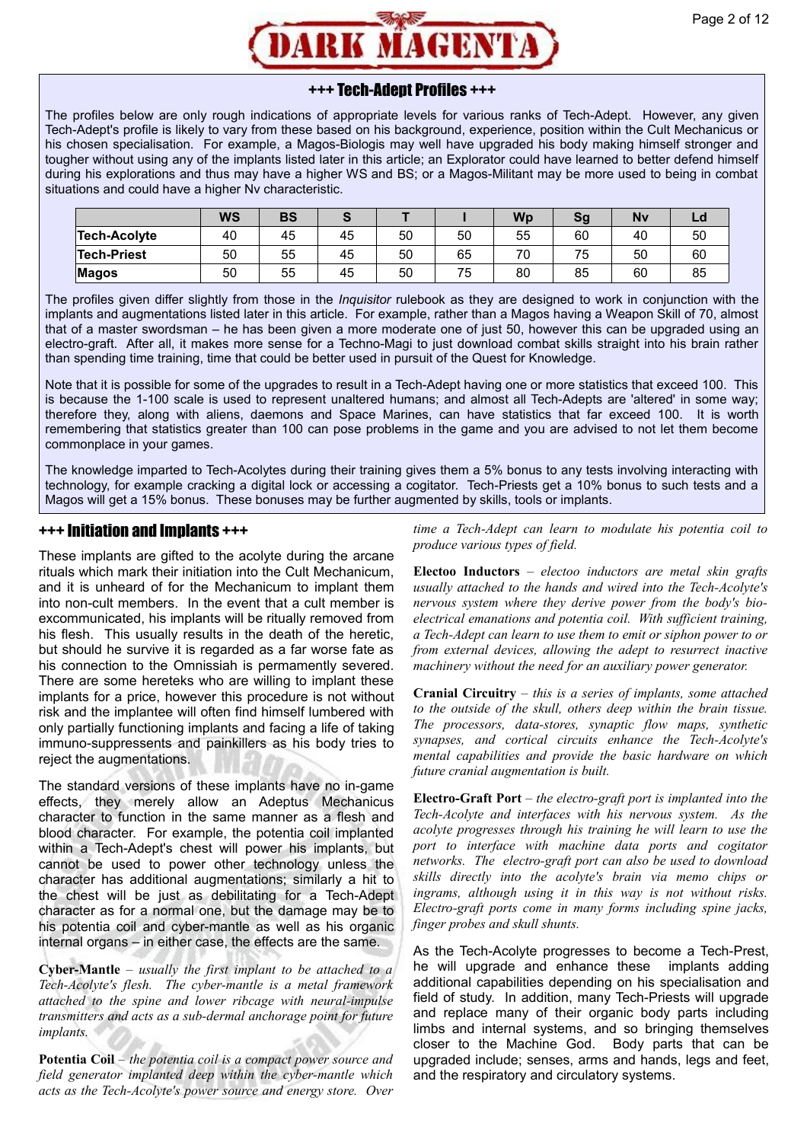

# +++ Tech-Adept Profiles +++

The profiles below are only rough indications of appropriate levels for various ranks of Tech-Adept. However, any given Tech-Adept's profile is likely to vary from these based on his background, experience, position within the Cult Mechanicus or his chosen specialisation. For example, a Magos-Biologis may well have upgraded his body making himself stronger and tougher without using any of the implants listed later in this article; an Explorator could have learned to better defend himself during his explorations and thus may have a higher WS and BS; or a Magos-Militant may be more used to being in combat situations and could have a higher Nv characteristic.

|                    | <b>WS</b> | BS |    |    |    | <b>Wp</b> | Sg | Nv | Lu |
|--------------------|-----------|----|----|----|----|-----------|----|----|----|
| Tech-Acolyte       | 40        | 45 | 45 | 50 | 50 | 55        | 60 | 40 | 50 |
| <b>Tech-Priest</b> | 50        | 55 | 45 | 50 | 65 | 70        | 75 | 50 | 60 |
| Magos              | 50        | 55 | 45 | 50 | 75 | 80        | 85 | 60 | 85 |

The profiles given differ slightly from those in the *Inquisitor* rulebook as they are designed to work in conjunction with the implants and augmentations listed later in this article. For example, rather than a Magos having a Weapon Skill of 70, almost that of a master swordsman – he has been given a more moderate one of just 50, however this can be upgraded using an electro-graft. After all, it makes more sense for a Techno-Magi to just download combat skills straight into his brain rather than spending time training, time that could be better used in pursuit of the Quest for Knowledge.

Note that it is possible for some of the upgrades to result in a Tech-Adept having one or more statistics that exceed 100. This is because the 1-100 scale is used to represent unaltered humans; and almost all Tech-Adepts are 'altered' in some way; therefore they, along with aliens, daemons and Space Marines, can have statistics that far exceed 100. It is worth remembering that statistics greater than 100 can pose problems in the game and you are advised to not let them become commonplace in your games.

The knowledge imparted to Tech-Acolytes during their training gives them a 5% bonus to any tests involving interacting with technology, for example cracking a digital lock or accessing a cogitator. Tech-Priests get a 10% bonus to such tests and a Magos will get a 15% bonus. These bonuses may be further augmented by skills, tools or implants.

### +++ Initiation and Implants +++

These implants are gifted to the acolyte during the arcane rituals which mark their initiation into the Cult Mechanicum, and it is unheard of for the Mechanicum to implant them into non-cult members. In the event that a cult member is excommunicated, his implants will be ritually removed from his flesh. This usually results in the death of the heretic. but should he survive it is regarded as a far worse fate as his connection to the Omnissiah is permamently severed. There are some hereteks who are willing to implant these implants for a price, however this procedure is not without risk and the implantee will often find himself lumbered with only partially functioning implants and facing a life of taking immuno-suppressents and painkillers as his body tries to reject the augmentations.

The standard versions of these implants have no in-game effects, they merely allow an Adeptus Mechanicus character to function in the same manner as a flesh and blood character. For example, the potentia coil implanted within a Tech-Adept's chest will power his implants, but cannot be used to power other technology unless the character has additional augmentations; similarly a hit to the chest will be just as debilitating for a Tech-Adept character as for a normal one, but the damage may be to his potentia coil and cyber-mantle as well as his organic internal organs – in either case, the effects are the same.

**Cyber-Mantle** – *usually the first implant to be attached to a Tech-Acolyte's flesh. The cyber-mantle is a metal framework attached to the spine and lower ribcage with neural-impulse transmitters and acts as a sub-dermal anchorage point for future implants.*

**Potentia Coil** – *the potentia coil is a compact power source and field generator implanted deep within the cyber-mantle which acts as the Tech-Acolyte's power source and energy store. Over*

*time a Tech-Adept can learn to modulate his potentia coil to produce various types of field.*

**Electoo Inductors** – *electoo inductors are metal skin grafts usually attached to the hands and wired into the Tech-Acolyte's nervous system where they derive power from the body's bioelectrical emanations and potentia coil. With sufficient training, a Tech-Adept can learn to use them to emit or siphon power to or from external devices, allowing the adept to resurrect inactive machinery without the need for an auxiliary power generator.*

**Cranial Circuitry** – *this is a series of implants, some attached to the outside of the skull, others deep within the brain tissue. The processors, data-stores, synaptic flow maps, synthetic synapses, and cortical circuits enhance the Tech-Acolyte's mental capabilities and provide the basic hardware on which future cranial augmentation is built.*

**Electro-Graft Port** – *the electro-graft port is implanted into the Tech-Acolyte and interfaces with his nervous system. As the acolyte progresses through his training he will learn to use the port to interface with machine data ports and cogitator networks. The electro-graft port can also be used to download skills directly into the acolyte's brain via memo chips or ingrams, although using it in this way is not without risks. Electro-graft ports come in many forms including spine jacks, finger probes and skull shunts.*

As the Tech-Acolyte progresses to become a Tech-Prest, he will upgrade and enhance these implants adding additional capabilities depending on his specialisation and field of study. In addition, many Tech-Priests will upgrade and replace many of their organic body parts including limbs and internal systems, and so bringing themselves closer to the Machine God. Body parts that can be upgraded include; senses, arms and hands, legs and feet, and the respiratory and circulatory systems.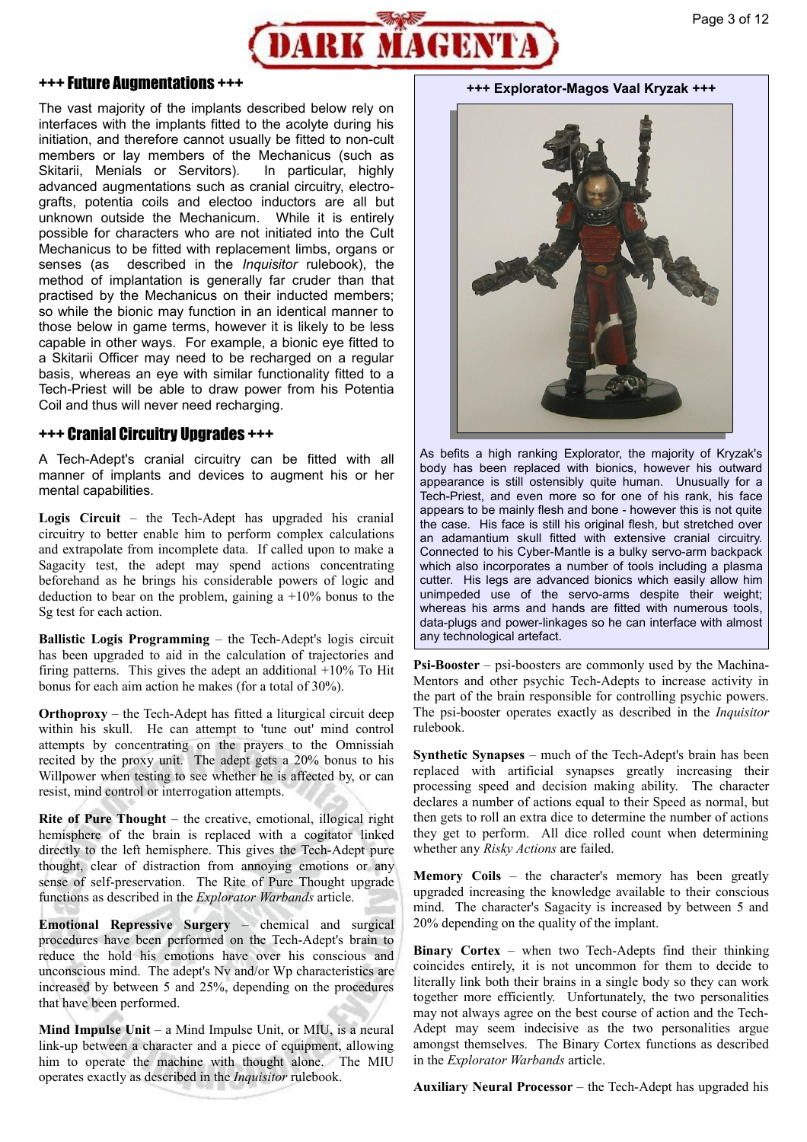

#### +++ Future Augmentations +++

The vast majority of the implants described below rely on interfaces with the implants fitted to the acolyte during his initiation, and therefore cannot usually be fitted to non-cult members or lay members of the Mechanicus (such as Skitarii, Menials or Servitors). In particular, highly advanced augmentations such as cranial circuitry, electrografts, potentia coils and electoo inductors are all but unknown outside the Mechanicum. While it is entirely possible for characters who are not initiated into the Cult Mechanicus to be fitted with replacement limbs, organs or senses (as described in the *Inquisitor* rulebook), the method of implantation is generally far cruder than that practised by the Mechanicus on their inducted members; so while the bionic may function in an identical manner to those below in game terms, however it is likely to be less capable in other ways. For example, a bionic eye fitted to a Skitarii Officer may need to be recharged on a regular basis, whereas an eye with similar functionality fitted to a Tech-Priest will be able to draw power from his Potentia Coil and thus will never need recharging.

#### +++ Cranial Circuitry Upgrades +++

A Tech-Adept's cranial circuitry can be fitted with all manner of implants and devices to augment his or her mental capabilities.

**Logis Circuit** – the Tech-Adept has upgraded his cranial circuitry to better enable him to perform complex calculations and extrapolate from incomplete data. If called upon to make a Sagacity test, the adept may spend actions concentrating beforehand as he brings his considerable powers of logic and deduction to bear on the problem, gaining a  $+10\%$  bonus to the Sg test for each action.

**Ballistic Logis Programming** – the Tech-Adept's logis circuit has been upgraded to aid in the calculation of trajectories and firing patterns. This gives the adept an additional  $+10\%$  To Hit bonus for each aim action he makes (for a total of 30%).

**Orthoproxy** – the Tech-Adept has fitted a liturgical circuit deep within his skull. He can attempt to 'tune out' mind control attempts by concentrating on the prayers to the Omnissiah recited by the proxy unit. The adept gets a 20% bonus to his Willpower when testing to see whether he is affected by, or can resist, mind control or interrogation attempts.

**Rite of Pure Thought** – the creative, emotional, illogical right hemisphere of the brain is replaced with a cogitator linked directly to the left hemisphere. This gives the Tech-Adept pure thought, clear of distraction from annoying emotions or any sense of self-preservation. The Rite of Pure Thought upgrade functions as described in the *Explorator Warbands* article.

**Emotional Repressive Surgery** – chemical and surgical procedures have been performed on the Tech-Adept's brain to reduce the hold his emotions have over his conscious and unconscious mind. The adept's Nv and/or Wp characteristics are increased by between 5 and 25%, depending on the procedures that have been performed.

**Mind Impulse Unit** – a Mind Impulse Unit, or MIU, is a neural link-up between a character and a piece of equipment, allowing him to operate the machine with thought alone. The MIU operates exactly as described in the *Inquisitor* rulebook.

**+++ Explorator-Magos Vaal Kryzak +++**



As befits a high ranking Explorator, the majority of Kryzak's body has been replaced with bionics, however his outward appearance is still ostensibly quite human. Unusually for a Tech-Priest, and even more so for one of his rank, his face appears to be mainly flesh and bone - however this is not quite the case. His face is still his original flesh, but stretched over an adamantium skull fitted with extensive cranial circuitry. Connected to his Cyber-Mantle is a bulky servo-arm backpack which also incorporates a number of tools including a plasma cutter. His legs are advanced bionics which easily allow him unimpeded use of the servo-arms despite their weight; whereas his arms and hands are fitted with numerous tools, data-plugs and power-linkages so he can interface with almost any technological artefact.

**Psi-Booster** – psi-boosters are commonly used by the Machina-Mentors and other psychic Tech-Adepts to increase activity in the part of the brain responsible for controlling psychic powers. The psi-booster operates exactly as described in the *Inquisitor* rulebook.

**Synthetic Synapses** – much of the Tech-Adept's brain has been replaced with artificial synapses greatly increasing their processing speed and decision making ability. The character declares a number of actions equal to their Speed as normal, but then gets to roll an extra dice to determine the number of actions they get to perform. All dice rolled count when determining whether any *Risky Actions* are failed.

**Memory Coils** – the character's memory has been greatly upgraded increasing the knowledge available to their conscious mind. The character's Sagacity is increased by between 5 and 20% depending on the quality of the implant.

**Binary Cortex** – when two Tech-Adepts find their thinking coincides entirely, it is not uncommon for them to decide to literally link both their brains in a single body so they can work together more efficiently. Unfortunately, the two personalities may not always agree on the best course of action and the Tech-Adept may seem indecisive as the two personalities argue amongst themselves. The Binary Cortex functions as described in the *Explorator Warbands* article.

**Auxiliary Neural Processor** – the Tech-Adept has upgraded his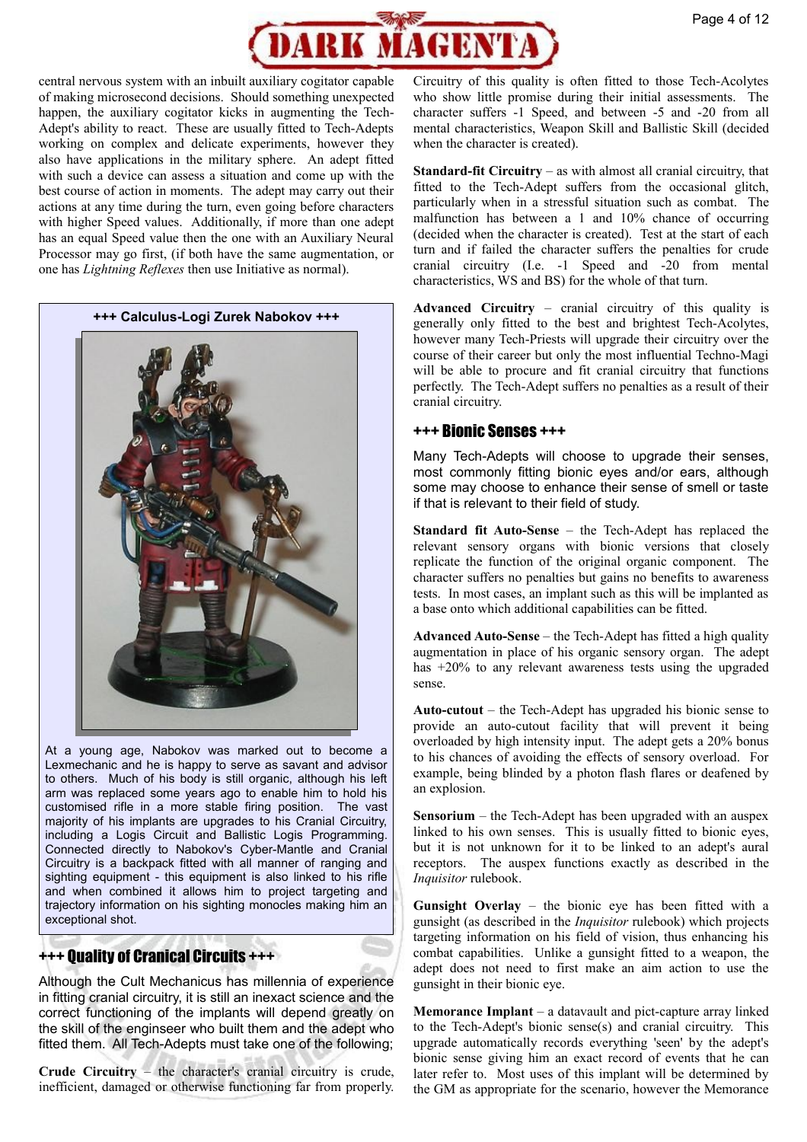

central nervous system with an inbuilt auxiliary cogitator capable of making microsecond decisions. Should something unexpected happen, the auxiliary cogitator kicks in augmenting the Tech-Adept's ability to react. These are usually fitted to Tech-Adepts working on complex and delicate experiments, however they also have applications in the military sphere. An adept fitted with such a device can assess a situation and come up with the best course of action in moments. The adept may carry out their actions at any time during the turn, even going before characters with higher Speed values. Additionally, if more than one adept has an equal Speed value then the one with an Auxiliary Neural Processor may go first, (if both have the same augmentation, or one has *Lightning Reflexes* then use Initiative as normal).



At a young age, Nabokov was marked out to become a Lexmechanic and he is happy to serve as savant and advisor to others. Much of his body is still organic, although his left arm was replaced some years ago to enable him to hold his customised rifle in a more stable firing position. The vast majority of his implants are upgrades to his Cranial Circuitry, including a Logis Circuit and Ballistic Logis Programming. Connected directly to Nabokov's Cyber-Mantle and Cranial Circuitry is a backpack fitted with all manner of ranging and sighting equipment - this equipment is also linked to his rifle and when combined it allows him to project targeting and trajectory information on his sighting monocles making him an exceptional shot.

# +++ Quality of Cranical Circuits +++

Although the Cult Mechanicus has millennia of experience in fitting cranial circuitry, it is still an inexact science and the correct functioning of the implants will depend greatly on the skill of the enginseer who built them and the adept who fitted them. All Tech-Adepts must take one of the following;

**Crude Circuitry** – the character's cranial circuitry is crude, inefficient, damaged or otherwise functioning far from properly.

Circuitry of this quality is often fitted to those Tech-Acolytes who show little promise during their initial assessments. The character suffers -1 Speed, and between -5 and -20 from all mental characteristics, Weapon Skill and Ballistic Skill (decided when the character is created).

**Standard-fit Circuitry** – as with almost all cranial circuitry, that fitted to the Tech-Adept suffers from the occasional glitch, particularly when in a stressful situation such as combat. The malfunction has between a 1 and 10% chance of occurring (decided when the character is created). Test at the start of each turn and if failed the character suffers the penalties for crude cranial circuitry (I.e. -1 Speed and -20 from mental characteristics, WS and BS) for the whole of that turn.

**Advanced Circuitry** – cranial circuitry of this quality is generally only fitted to the best and brightest Tech-Acolytes, however many Tech-Priests will upgrade their circuitry over the course of their career but only the most influential Techno-Magi will be able to procure and fit cranial circuitry that functions perfectly. The Tech-Adept suffers no penalties as a result of their cranial circuitry.

### +++ Bionic Senses +++

Many Tech-Adepts will choose to upgrade their senses, most commonly fitting bionic eyes and/or ears, although some may choose to enhance their sense of smell or taste if that is relevant to their field of study.

**Standard fit Auto-Sense** – the Tech-Adept has replaced the relevant sensory organs with bionic versions that closely replicate the function of the original organic component. The character suffers no penalties but gains no benefits to awareness tests. In most cases, an implant such as this will be implanted as a base onto which additional capabilities can be fitted.

**Advanced Auto-Sense** – the Tech-Adept has fitted a high quality augmentation in place of his organic sensory organ. The adept has +20% to any relevant awareness tests using the upgraded sense.

**Auto-cutout** – the Tech-Adept has upgraded his bionic sense to provide an auto-cutout facility that will prevent it being overloaded by high intensity input. The adept gets a 20% bonus to his chances of avoiding the effects of sensory overload. For example, being blinded by a photon flash flares or deafened by an explosion.

**Sensorium** – the Tech-Adept has been upgraded with an auspex linked to his own senses. This is usually fitted to bionic eyes, but it is not unknown for it to be linked to an adept's aural receptors. The auspex functions exactly as described in the *Inquisitor* rulebook.

**Gunsight Overlay** – the bionic eye has been fitted with a gunsight (as described in the *Inquisitor* rulebook) which projects targeting information on his field of vision, thus enhancing his combat capabilities. Unlike a gunsight fitted to a weapon, the adept does not need to first make an aim action to use the gunsight in their bionic eye.

**Memorance Implant** – a datavault and pict-capture array linked to the Tech-Adept's bionic sense(s) and cranial circuitry. This upgrade automatically records everything 'seen' by the adept's bionic sense giving him an exact record of events that he can later refer to. Most uses of this implant will be determined by the GM as appropriate for the scenario, however the Memorance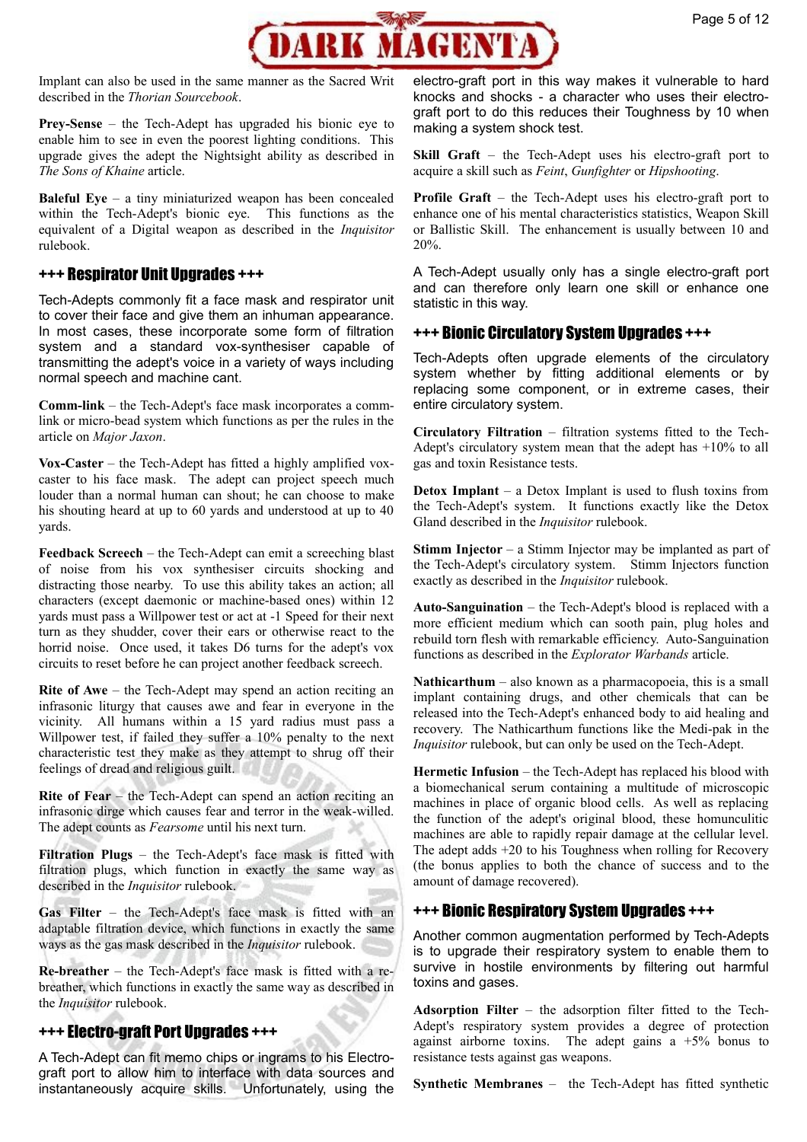

Implant can also be used in the same manner as the Sacred Writ described in the *Thorian Sourcebook*.

**Prey-Sense** – the Tech-Adept has upgraded his bionic eye to enable him to see in even the poorest lighting conditions. This upgrade gives the adept the Nightsight ability as described in *The Sons of Khaine* article.

**Baleful Eye** – a tiny miniaturized weapon has been concealed within the Tech-Adept's bionic eye. This functions as the equivalent of a Digital weapon as described in the *Inquisitor* rulebook.

# +++ Respirator Unit Upgrades +++

Tech-Adepts commonly fit a face mask and respirator unit to cover their face and give them an inhuman appearance. In most cases, these incorporate some form of filtration system and a standard vox-synthesiser capable of transmitting the adept's voice in a variety of ways including normal speech and machine cant.

**Comm-link** – the Tech-Adept's face mask incorporates a commlink or micro-bead system which functions as per the rules in the article on *Major Jaxon*.

**Vox-Caster** – the Tech-Adept has fitted a highly amplified voxcaster to his face mask. The adept can project speech much louder than a normal human can shout; he can choose to make his shouting heard at up to 60 yards and understood at up to 40 yards.

**Feedback Screech** – the Tech-Adept can emit a screeching blast of noise from his vox synthesiser circuits shocking and distracting those nearby. To use this ability takes an action; all characters (except daemonic or machine-based ones) within 12 yards must pass a Willpower test or act at -1 Speed for their next turn as they shudder, cover their ears or otherwise react to the horrid noise. Once used, it takes D6 turns for the adept's vox circuits to reset before he can project another feedback screech.

**Rite of Awe** – the Tech-Adept may spend an action reciting an infrasonic liturgy that causes awe and fear in everyone in the vicinity. All humans within a 15 yard radius must pass a Willpower test, if failed they suffer a 10% penalty to the next characteristic test they make as they attempt to shrug off their feelings of dread and religious guilt.

**Rite of Fear** – the Tech-Adept can spend an action reciting an infrasonic dirge which causes fear and terror in the weak-willed. The adept counts as *Fearsome* until his next turn.

**Filtration Plugs** – the Tech-Adept's face mask is fitted with filtration plugs, which function in exactly the same way as described in the *Inquisitor* rulebook.

Gas Filter – the Tech-Adept's face mask is fitted with an adaptable filtration device, which functions in exactly the same ways as the gas mask described in the *Inquisitor* rulebook.

**Re-breather** – the Tech-Adept's face mask is fitted with a rebreather, which functions in exactly the same way as described in the *Inquisitor* rulebook.

# +++ Electro-graft Port Upgrades +++

A Tech-Adept can fit memo chips or ingrams to his Electrograft port to allow him to interface with data sources and instantaneously acquire skills. Unfortunately, using the electro-graft port in this way makes it vulnerable to hard knocks and shocks - a character who uses their electrograft port to do this reduces their Toughness by 10 when making a system shock test.

**Skill Graft** – the Tech-Adept uses his electro-graft port to acquire a skill such as *Feint*, *Gunfighter* or *Hipshooting*.

**Profile Graft** – the Tech-Adept uses his electro-graft port to enhance one of his mental characteristics statistics, Weapon Skill or Ballistic Skill. The enhancement is usually between 10 and 20%.

A Tech-Adept usually only has a single electro-graft port and can therefore only learn one skill or enhance one statistic in this way.

### +++ Bionic Circulatory System Upgrades +++

Tech-Adepts often upgrade elements of the circulatory system whether by fitting additional elements or by replacing some component, or in extreme cases, their entire circulatory system.

**Circulatory Filtration** – filtration systems fitted to the Tech-Adept's circulatory system mean that the adept has +10% to all gas and toxin Resistance tests.

**Detox Implant** – a Detox Implant is used to flush toxins from the Tech-Adept's system. It functions exactly like the Detox Gland described in the *Inquisitor* rulebook.

**Stimm Injector** – a Stimm Injector may be implanted as part of the Tech-Adept's circulatory system. Stimm Injectors function exactly as described in the *Inquisitor* rulebook.

**Auto-Sanguination** – the Tech-Adept's blood is replaced with a more efficient medium which can sooth pain, plug holes and rebuild torn flesh with remarkable efficiency. Auto-Sanguination functions as described in the *Explorator Warbands* article.

**Nathicarthum** – also known as a pharmacopoeia, this is a small implant containing drugs, and other chemicals that can be released into the Tech-Adept's enhanced body to aid healing and recovery. The Nathicarthum functions like the Medi-pak in the *Inquisitor* rulebook, but can only be used on the Tech-Adept.

**Hermetic Infusion** – the Tech-Adept has replaced his blood with a biomechanical serum containing a multitude of microscopic machines in place of organic blood cells. As well as replacing the function of the adept's original blood, these homunculitic machines are able to rapidly repair damage at the cellular level. The adept adds +20 to his Toughness when rolling for Recovery (the bonus applies to both the chance of success and to the amount of damage recovered).

# +++ Bionic Respiratory System Upgrades +++

Another common augmentation performed by Tech-Adepts is to upgrade their respiratory system to enable them to survive in hostile environments by filtering out harmful toxins and gases.

**Adsorption Filter** – the adsorption filter fitted to the Tech-Adept's respiratory system provides a degree of protection against airborne toxins. The adept gains  $a +5\%$  bonus to resistance tests against gas weapons.

**Synthetic Membranes** – the Tech-Adept has fitted synthetic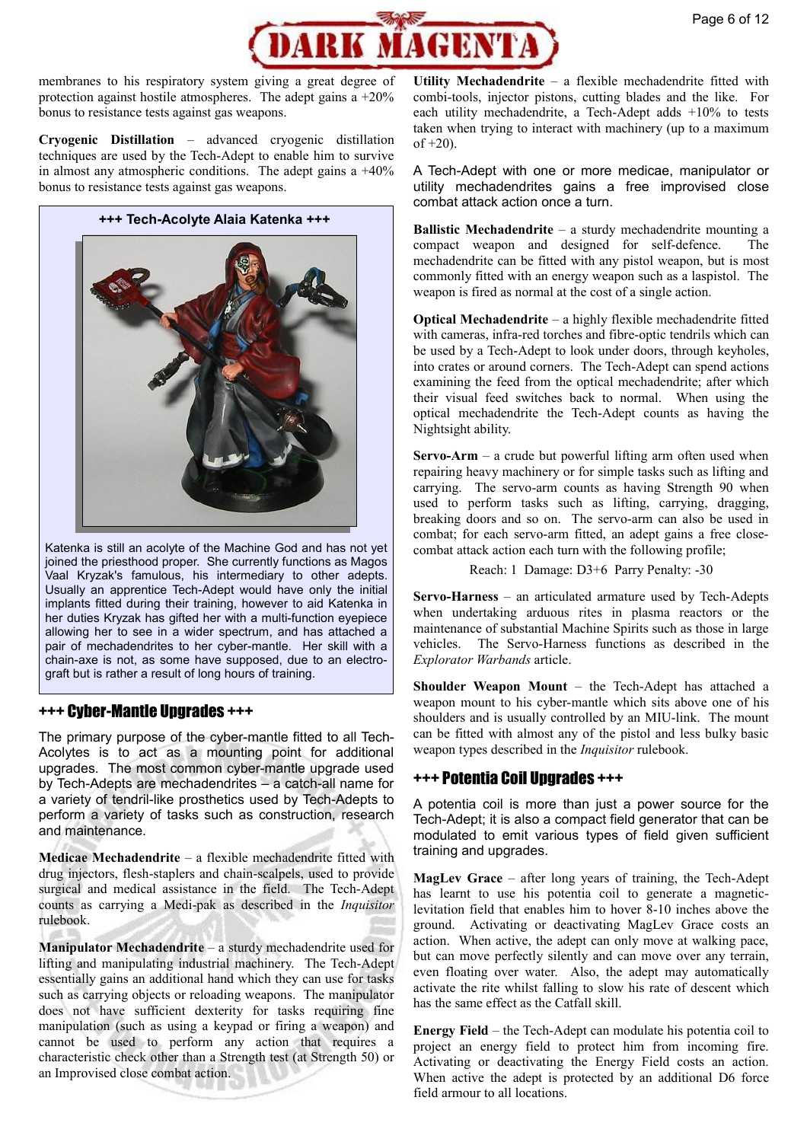

membranes to his respiratory system giving a great degree of protection against hostile atmospheres. The adept gains a +20% bonus to resistance tests against gas weapons.

**Cryogenic Distillation** – advanced cryogenic distillation techniques are used by the Tech-Adept to enable him to survive in almost any atmospheric conditions. The adept gains a  $+40\%$ bonus to resistance tests against gas weapons.

**+++ Tech-Acolyte Alaia Katenka +++** 



Katenka is still an acolyte of the Machine God and has not yet joined the priesthood proper. She currently functions as Magos Vaal Kryzak's famulous, his intermediary to other adepts. Usually an apprentice Tech-Adept would have only the initial implants fitted during their training, however to aid Katenka in her duties Kryzak has gifted her with a multi-function eyepiece allowing her to see in a wider spectrum, and has attached a pair of mechadendrites to her cyber-mantle. Her skill with a chain-axe is not, as some have supposed, due to an electrograft but is rather a result of long hours of training.

# +++ Cyber-Mantle Upgrades +++

The primary purpose of the cyber-mantle fitted to all Tech-Acolytes is to act as a mounting point for additional upgrades. The most common cyber-mantle upgrade used by Tech-Adepts are mechadendrites – a catch-all name for a variety of tendril-like prosthetics used by Tech-Adepts to perform a variety of tasks such as construction, research and maintenance.

**Medicae Mechadendrite** – a flexible mechadendrite fitted with drug injectors, flesh-staplers and chain-scalpels, used to provide surgical and medical assistance in the field. The Tech-Adept counts as carrying a Medi-pak as described in the *Inquisitor* rulebook.

**Manipulator Mechadendrite** – a sturdy mechadendrite used for lifting and manipulating industrial machinery. The Tech-Adept essentially gains an additional hand which they can use for tasks such as carrying objects or reloading weapons. The manipulator does not have sufficient dexterity for tasks requiring fine manipulation (such as using a keypad or firing a weapon) and cannot be used to perform any action that requires a characteristic check other than a Strength test (at Strength 50) or an Improvised close combat action.

**Utility Mechadendrite** – a flexible mechadendrite fitted with combi-tools, injector pistons, cutting blades and the like. For each utility mechadendrite, a Tech-Adept adds +10% to tests taken when trying to interact with machinery (up to a maximum  $of +20$ ).

A Tech-Adept with one or more medicae, manipulator or utility mechadendrites gains a free improvised close combat attack action once a turn.

**Ballistic Mechadendrite** – a sturdy mechadendrite mounting a compact weapon and designed for self-defence. The mechadendrite can be fitted with any pistol weapon, but is most commonly fitted with an energy weapon such as a laspistol. The weapon is fired as normal at the cost of a single action.

**Optical Mechadendrite** – a highly flexible mechadendrite fitted with cameras, infra-red torches and fibre-optic tendrils which can be used by a Tech-Adept to look under doors, through keyholes, into crates or around corners. The Tech-Adept can spend actions examining the feed from the optical mechadendrite; after which their visual feed switches back to normal. When using the optical mechadendrite the Tech-Adept counts as having the Nightsight ability.

**Servo-Arm** – a crude but powerful lifting arm often used when repairing heavy machinery or for simple tasks such as lifting and carrying. The servo-arm counts as having Strength 90 when used to perform tasks such as lifting, carrying, dragging, breaking doors and so on. The servo-arm can also be used in combat; for each servo-arm fitted, an adept gains a free closecombat attack action each turn with the following profile;

Reach: 1 Damage: D3+6 Parry Penalty: -30

**Servo-Harness** – an articulated armature used by Tech-Adepts when undertaking arduous rites in plasma reactors or the maintenance of substantial Machine Spirits such as those in large vehicles. The Servo-Harness functions as described in the *Explorator Warbands* article.

**Shoulder Weapon Mount** – the Tech-Adept has attached a weapon mount to his cyber-mantle which sits above one of his shoulders and is usually controlled by an MIU-link. The mount can be fitted with almost any of the pistol and less bulky basic weapon types described in the *Inquisitor* rulebook.

# +++ Potentia Coil Upgrades +++

A potentia coil is more than just a power source for the Tech-Adept; it is also a compact field generator that can be modulated to emit various types of field given sufficient training and upgrades.

**MagLev Grace** – after long years of training, the Tech-Adept has learnt to use his potentia coil to generate a magneticlevitation field that enables him to hover 8-10 inches above the ground. Activating or deactivating MagLev Grace costs an action. When active, the adept can only move at walking pace, but can move perfectly silently and can move over any terrain, even floating over water. Also, the adept may automatically activate the rite whilst falling to slow his rate of descent which has the same effect as the Catfall skill.

**Energy Field** – the Tech-Adept can modulate his potentia coil to project an energy field to protect him from incoming fire. Activating or deactivating the Energy Field costs an action. When active the adept is protected by an additional D6 force field armour to all locations.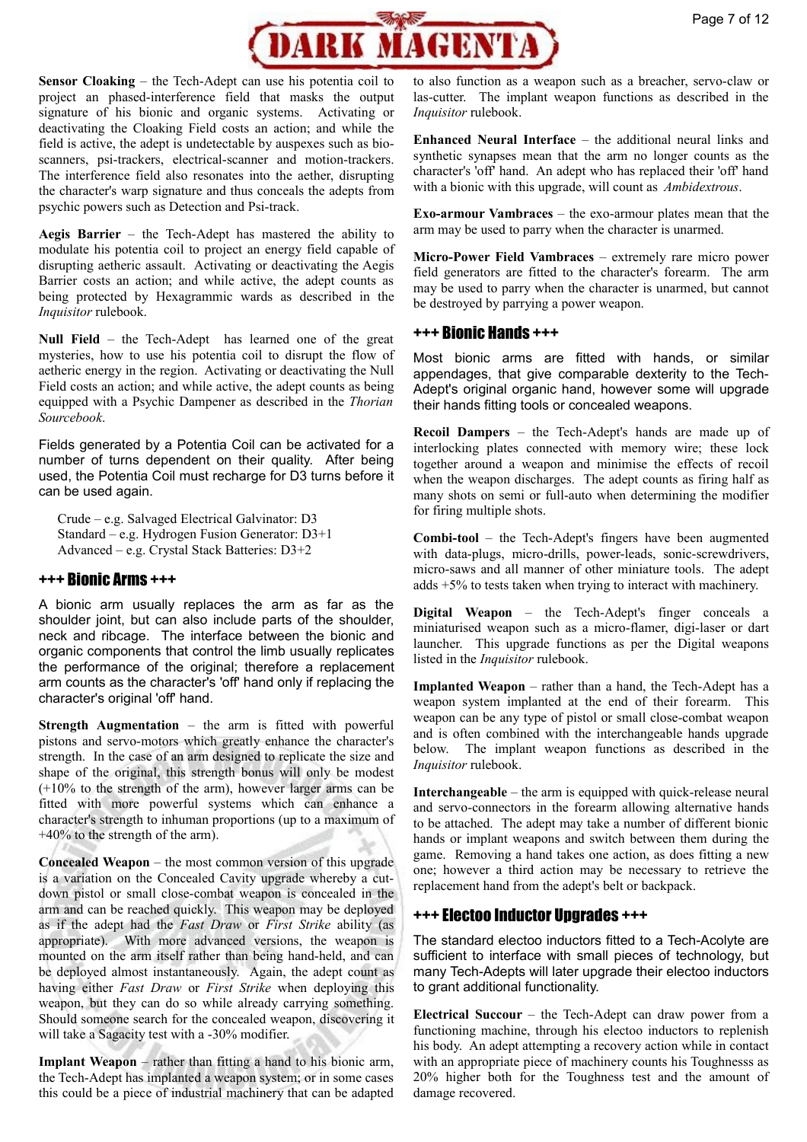

**Sensor Cloaking** – the Tech-Adept can use his potentia coil to project an phased-interference field that masks the output signature of his bionic and organic systems. Activating or deactivating the Cloaking Field costs an action; and while the field is active, the adept is undetectable by auspexes such as bioscanners, psi-trackers, electrical-scanner and motion-trackers. The interference field also resonates into the aether, disrupting the character's warp signature and thus conceals the adepts from psychic powers such as Detection and Psi-track.

**Aegis Barrier** – the Tech-Adept has mastered the ability to modulate his potentia coil to project an energy field capable of disrupting aetheric assault. Activating or deactivating the Aegis Barrier costs an action; and while active, the adept counts as being protected by Hexagrammic wards as described in the *Inquisitor* rulebook.

**Null Field** – the Tech-Adept has learned one of the great mysteries, how to use his potentia coil to disrupt the flow of aetheric energy in the region. Activating or deactivating the Null Field costs an action; and while active, the adept counts as being equipped with a Psychic Dampener as described in the *Thorian Sourcebook*.

Fields generated by a Potentia Coil can be activated for a number of turns dependent on their quality. After being used, the Potentia Coil must recharge for D3 turns before it can be used again.

Crude – e.g. Salvaged Electrical Galvinator: D3 Standard – e.g. Hydrogen Fusion Generator: D3+1 Advanced – e.g. Crystal Stack Batteries: D3+2

# +++ Bionic Arms +++

A bionic arm usually replaces the arm as far as the shoulder joint, but can also include parts of the shoulder, neck and ribcage. The interface between the bionic and organic components that control the limb usually replicates the performance of the original; therefore a replacement arm counts as the character's 'off' hand only if replacing the character's original 'off' hand.

**Strength Augmentation** – the arm is fitted with powerful pistons and servo-motors which greatly enhance the character's strength. In the case of an arm designed to replicate the size and shape of the original, this strength bonus will only be modest (+10% to the strength of the arm), however larger arms can be fitted with more powerful systems which can enhance a character's strength to inhuman proportions (up to a maximum of +40% to the strength of the arm).

**Concealed Weapon** – the most common version of this upgrade is a variation on the Concealed Cavity upgrade whereby a cutdown pistol or small close-combat weapon is concealed in the arm and can be reached quickly. This weapon may be deployed as if the adept had the *Fast Draw* or *First Strike* ability (as appropriate). With more advanced versions, the weapon is mounted on the arm itself rather than being hand-held, and can be deployed almost instantaneously. Again, the adept count as having either *Fast Draw* or *First Strike* when deploying this weapon, but they can do so while already carrying something. Should someone search for the concealed weapon, discovering it will take a Sagacity test with a -30% modifier.

**Implant Weapon** – rather than fitting a hand to his bionic arm, the Tech-Adept has implanted a weapon system; or in some cases this could be a piece of industrial machinery that can be adapted

to also function as a weapon such as a breacher, servo-claw or las-cutter. The implant weapon functions as described in the *Inquisitor* rulebook.

**Enhanced Neural Interface** – the additional neural links and synthetic synapses mean that the arm no longer counts as the character's 'off' hand. An adept who has replaced their 'off' hand with a bionic with this upgrade, will count as *Ambidextrous*.

**Exo-armour Vambraces** – the exo-armour plates mean that the arm may be used to parry when the character is unarmed.

**Micro-Power Field Vambraces** – extremely rare micro power field generators are fitted to the character's forearm. The arm may be used to parry when the character is unarmed, but cannot be destroyed by parrying a power weapon.

### +++ Bionic Hands +++

Most bionic arms are fitted with hands, or similar appendages, that give comparable dexterity to the Tech-Adept's original organic hand, however some will upgrade their hands fitting tools or concealed weapons.

**Recoil Dampers** – the Tech-Adept's hands are made up of interlocking plates connected with memory wire; these lock together around a weapon and minimise the effects of recoil when the weapon discharges. The adept counts as firing half as many shots on semi or full-auto when determining the modifier for firing multiple shots.

**Combi-tool** – the Tech-Adept's fingers have been augmented with data-plugs, micro-drills, power-leads, sonic-screwdrivers, micro-saws and all manner of other miniature tools. The adept adds +5% to tests taken when trying to interact with machinery.

**Digital Weapon** – the Tech-Adept's finger conceals a miniaturised weapon such as a micro-flamer, digi-laser or dart launcher. This upgrade functions as per the Digital weapons listed in the *Inquisitor* rulebook.

**Implanted Weapon** – rather than a hand, the Tech-Adept has a weapon system implanted at the end of their forearm. This weapon can be any type of pistol or small close-combat weapon and is often combined with the interchangeable hands upgrade below. The implant weapon functions as described in the *Inquisitor* rulebook.

**Interchangeable** – the arm is equipped with quick-release neural and servo-connectors in the forearm allowing alternative hands to be attached. The adept may take a number of different bionic hands or implant weapons and switch between them during the game. Removing a hand takes one action, as does fitting a new one; however a third action may be necessary to retrieve the replacement hand from the adept's belt or backpack.

# +++ Electoo Inductor Upgrades +++

The standard electoo inductors fitted to a Tech-Acolyte are sufficient to interface with small pieces of technology, but many Tech-Adepts will later upgrade their electoo inductors to grant additional functionality.

**Electrical Succour** – the Tech-Adept can draw power from a functioning machine, through his electoo inductors to replenish his body. An adept attempting a recovery action while in contact with an appropriate piece of machinery counts his Toughnesss as 20% higher both for the Toughness test and the amount of damage recovered.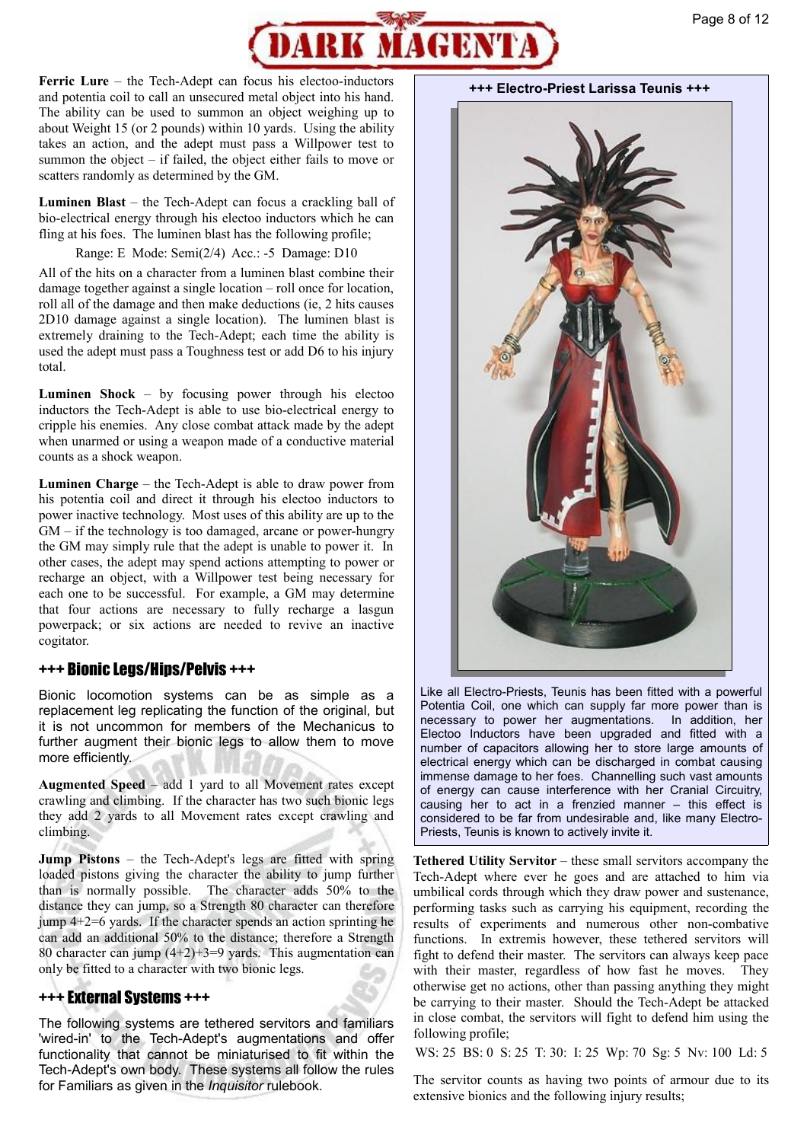

**Ferric Lure** – the Tech-Adept can focus his electoo-inductors and potentia coil to call an unsecured metal object into his hand. The ability can be used to summon an object weighing up to about Weight 15 (or 2 pounds) within 10 yards. Using the ability takes an action, and the adept must pass a Willpower test to summon the object – if failed, the object either fails to move or scatters randomly as determined by the GM.

**Luminen Blast** – the Tech-Adept can focus a crackling ball of bio-electrical energy through his electoo inductors which he can fling at his foes. The luminen blast has the following profile;

Range: E Mode: Semi(2/4) Acc.: -5 Damage: D10

All of the hits on a character from a luminen blast combine their damage together against a single location – roll once for location, roll all of the damage and then make deductions (ie, 2 hits causes 2D10 damage against a single location). The luminen blast is extremely draining to the Tech-Adept; each time the ability is used the adept must pass a Toughness test or add D6 to his injury total.

**Luminen Shock** – by focusing power through his electoo inductors the Tech-Adept is able to use bio-electrical energy to cripple his enemies. Any close combat attack made by the adept when unarmed or using a weapon made of a conductive material counts as a shock weapon.

**Luminen Charge** – the Tech-Adept is able to draw power from his potentia coil and direct it through his electoo inductors to power inactive technology. Most uses of this ability are up to the GM – if the technology is too damaged, arcane or power-hungry the GM may simply rule that the adept is unable to power it. In other cases, the adept may spend actions attempting to power or recharge an object, with a Willpower test being necessary for each one to be successful. For example, a GM may determine that four actions are necessary to fully recharge a lasgun powerpack; or six actions are needed to revive an inactive cogitator.

#### +++ Bionic Legs/Hips/Pelvis +++

Bionic locomotion systems can be as simple as a replacement leg replicating the function of the original, but it is not uncommon for members of the Mechanicus to further augment their bionic legs to allow them to move more efficiently.

**Augmented Speed** – add 1 yard to all Movement rates except crawling and climbing. If the character has two such bionic legs they add 2 yards to all Movement rates except crawling and climbing.

**Jump Pistons** – the Tech-Adept's legs are fitted with spring loaded pistons giving the character the ability to jump further than is normally possible. The character adds 50% to the distance they can jump, so a Strength 80 character can therefore jump  $4+2=6$  yards. If the character spends an action sprinting he can add an additional 50% to the distance; therefore a Strength 80 character can jump (4+2)+3=9 yards. This augmentation can only be fitted to a character with two bionic legs.

#### +++ External Systems +++

The following systems are tethered servitors and familiars 'wired-in' to the Tech-Adept's augmentations and offer functionality that cannot be miniaturised to fit within the Tech-Adept's own body. These systems all follow the rules for Familiars as given in the *Inquisitor* rulebook.

**+++ Electro-Priest Larissa Teunis +++** 



Like all Electro-Priests, Teunis has been fitted with a powerful Potentia Coil, one which can supply far more power than is necessary to power her augmentations. In addition, her Electoo Inductors have been upgraded and fitted with a number of capacitors allowing her to store large amounts of electrical energy which can be discharged in combat causing immense damage to her foes. Channelling such vast amounts of energy can cause interference with her Cranial Circuitry, causing her to act in a frenzied manner – this effect is considered to be far from undesirable and, like many Electro-Priests, Teunis is known to actively invite it.

**Tethered Utility Servitor** – these small servitors accompany the Tech-Adept where ever he goes and are attached to him via umbilical cords through which they draw power and sustenance, performing tasks such as carrying his equipment, recording the results of experiments and numerous other non-combative functions. In extremis however, these tethered servitors will fight to defend their master. The servitors can always keep pace with their master, regardless of how fast he moves. They otherwise get no actions, other than passing anything they might be carrying to their master. Should the Tech-Adept be attacked in close combat, the servitors will fight to defend him using the following profile;

WS: 25 BS: 0 S: 25 T: 30: I: 25 Wp: 70 Sg: 5 Nv: 100 Ld: 5

The servitor counts as having two points of armour due to its extensive bionics and the following injury results;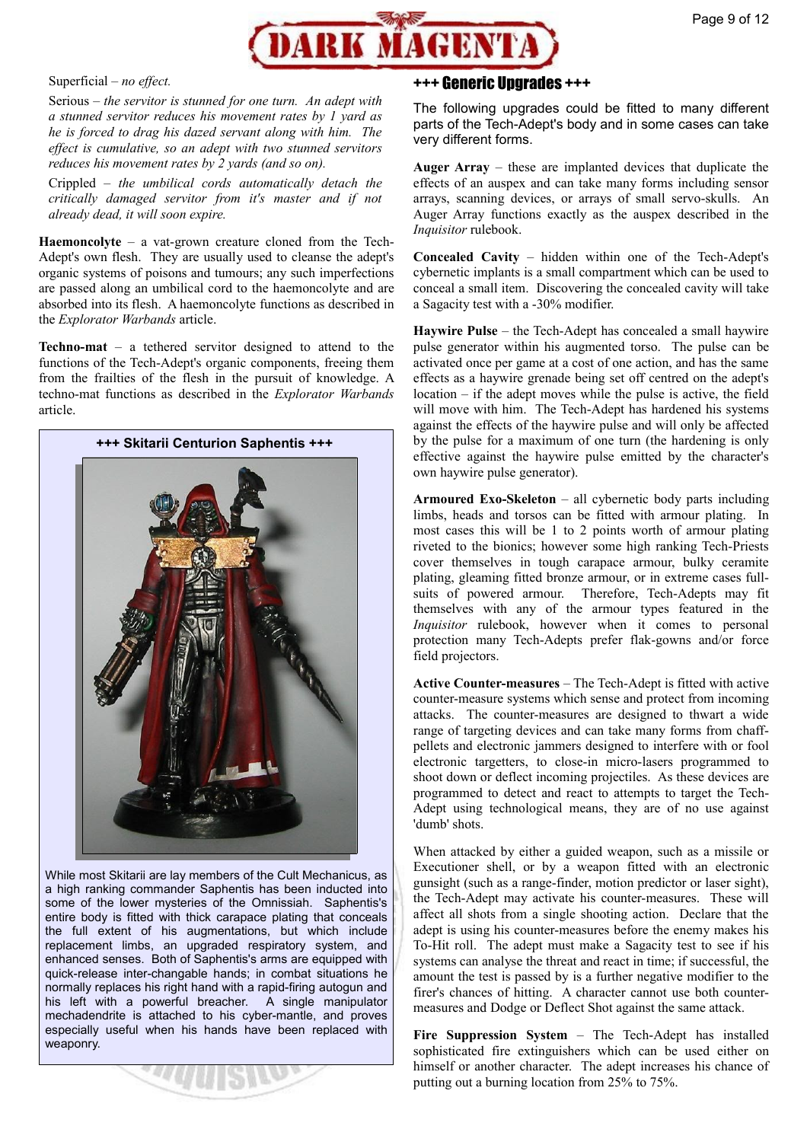

Superficial – *no effect.*

Serious – *the servitor is stunned for one turn. An adept with a stunned servitor reduces his movement rates by 1 yard as he is forced to drag his dazed servant along with him. The effect is cumulative, so an adept with two stunned servitors reduces his movement rates by 2 yards (and so on).*

Crippled – *the umbilical cords automatically detach the critically damaged servitor from it's master and if not already dead, it will soon expire.*

**Haemoncolyte** – a vat-grown creature cloned from the Tech-Adept's own flesh. They are usually used to cleanse the adept's organic systems of poisons and tumours; any such imperfections are passed along an umbilical cord to the haemoncolyte and are absorbed into its flesh. A haemoncolyte functions as described in the *Explorator Warbands* article.

**Techno-mat** – a tethered servitor designed to attend to the functions of the Tech-Adept's organic components, freeing them from the frailties of the flesh in the pursuit of knowledge. A techno-mat functions as described in the *Explorator Warbands* article.



While most Skitarii are lay members of the Cult Mechanicus, as a high ranking commander Saphentis has been inducted into some of the lower mysteries of the Omnissiah. Saphentis's entire body is fitted with thick carapace plating that conceals the full extent of his augmentations, but which include replacement limbs, an upgraded respiratory system, and enhanced senses. Both of Saphentis's arms are equipped with quick-release inter-changable hands; in combat situations he normally replaces his right hand with a rapid-firing autogun and his left with a powerful breacher. A single manipulator mechadendrite is attached to his cyber-mantle, and proves especially useful when his hands have been replaced with weaponry.

# +++ Generic Upgrades +++

The following upgrades could be fitted to many different parts of the Tech-Adept's body and in some cases can take very different forms.

**Auger Array** – these are implanted devices that duplicate the effects of an auspex and can take many forms including sensor arrays, scanning devices, or arrays of small servo-skulls. An Auger Array functions exactly as the auspex described in the *Inquisitor* rulebook.

**Concealed Cavity** – hidden within one of the Tech-Adept's cybernetic implants is a small compartment which can be used to conceal a small item. Discovering the concealed cavity will take a Sagacity test with a -30% modifier.

**Haywire Pulse** – the Tech-Adept has concealed a small haywire pulse generator within his augmented torso. The pulse can be activated once per game at a cost of one action, and has the same effects as a haywire grenade being set off centred on the adept's location – if the adept moves while the pulse is active, the field will move with him. The Tech-Adept has hardened his systems against the effects of the haywire pulse and will only be affected by the pulse for a maximum of one turn (the hardening is only effective against the haywire pulse emitted by the character's own haywire pulse generator).

**Armoured Exo-Skeleton** – all cybernetic body parts including limbs, heads and torsos can be fitted with armour plating. In most cases this will be 1 to 2 points worth of armour plating riveted to the bionics; however some high ranking Tech-Priests cover themselves in tough carapace armour, bulky ceramite plating, gleaming fitted bronze armour, or in extreme cases fullsuits of powered armour. Therefore, Tech-Adepts may fit themselves with any of the armour types featured in the *Inquisitor* rulebook, however when it comes to personal protection many Tech-Adepts prefer flak-gowns and/or force field projectors.

**Active Counter-measures** – The Tech-Adept is fitted with active counter-measure systems which sense and protect from incoming attacks. The counter-measures are designed to thwart a wide range of targeting devices and can take many forms from chaffpellets and electronic jammers designed to interfere with or fool electronic targetters, to close-in micro-lasers programmed to shoot down or deflect incoming projectiles. As these devices are programmed to detect and react to attempts to target the Tech-Adept using technological means, they are of no use against 'dumb' shots.

When attacked by either a guided weapon, such as a missile or Executioner shell, or by a weapon fitted with an electronic gunsight (such as a range-finder, motion predictor or laser sight), the Tech-Adept may activate his counter-measures. These will affect all shots from a single shooting action. Declare that the adept is using his counter-measures before the enemy makes his To-Hit roll. The adept must make a Sagacity test to see if his systems can analyse the threat and react in time; if successful, the amount the test is passed by is a further negative modifier to the firer's chances of hitting. A character cannot use both countermeasures and Dodge or Deflect Shot against the same attack.

**Fire Suppression System** – The Tech-Adept has installed sophisticated fire extinguishers which can be used either on himself or another character. The adept increases his chance of putting out a burning location from 25% to 75%.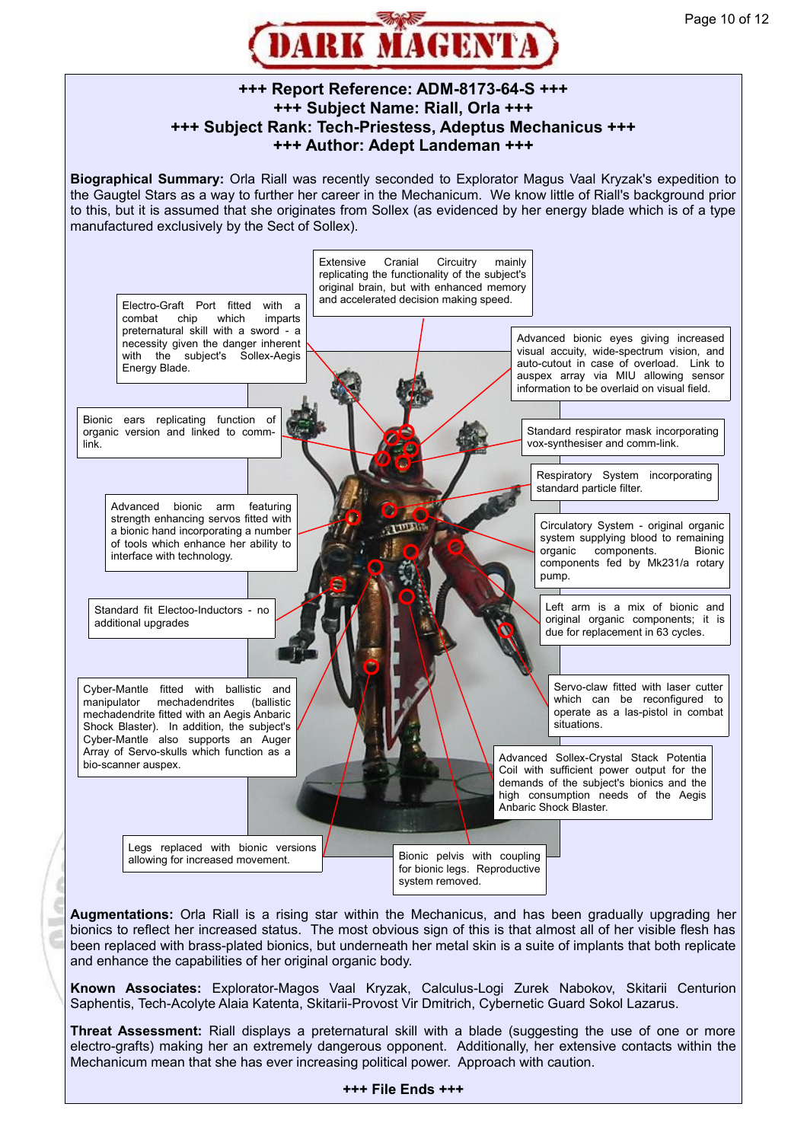

# **+++ Report Reference: ADM-8173-64-S +++ +++ Subject Name: Riall, Orla +++ +++ Subject Rank: Tech-Priestess, Adeptus Mechanicus +++ +++ Author: Adept Landeman +++**

**Biographical Summary:** Orla Riall was recently seconded to Explorator Magus Vaal Kryzak's expedition to the Gaugtel Stars as a way to further her career in the Mechanicum. We know little of Riall's background prior to this, but it is assumed that she originates from Sollex (as evidenced by her energy blade which is of a type manufactured exclusively by the Sect of Sollex).



bionics to reflect her increased status. The most obvious sign of this is that almost all of her visible flesh has been replaced with brass-plated bionics, but underneath her metal skin is a suite of implants that both replicate and enhance the capabilities of her original organic body.

ï

**Known Associates:** Explorator-Magos Vaal Kryzak, Calculus-Logi Zurek Nabokov, Skitarii Centurion Saphentis, Tech-Acolyte Alaia Katenta, Skitarii-Provost Vir Dmitrich, Cybernetic Guard Sokol Lazarus.

**Threat Assessment:** Riall displays a preternatural skill with a blade (suggesting the use of one or more electro-grafts) making her an extremely dangerous opponent. Additionally, her extensive contacts within the Mechanicum mean that she has ever increasing political power. Approach with caution.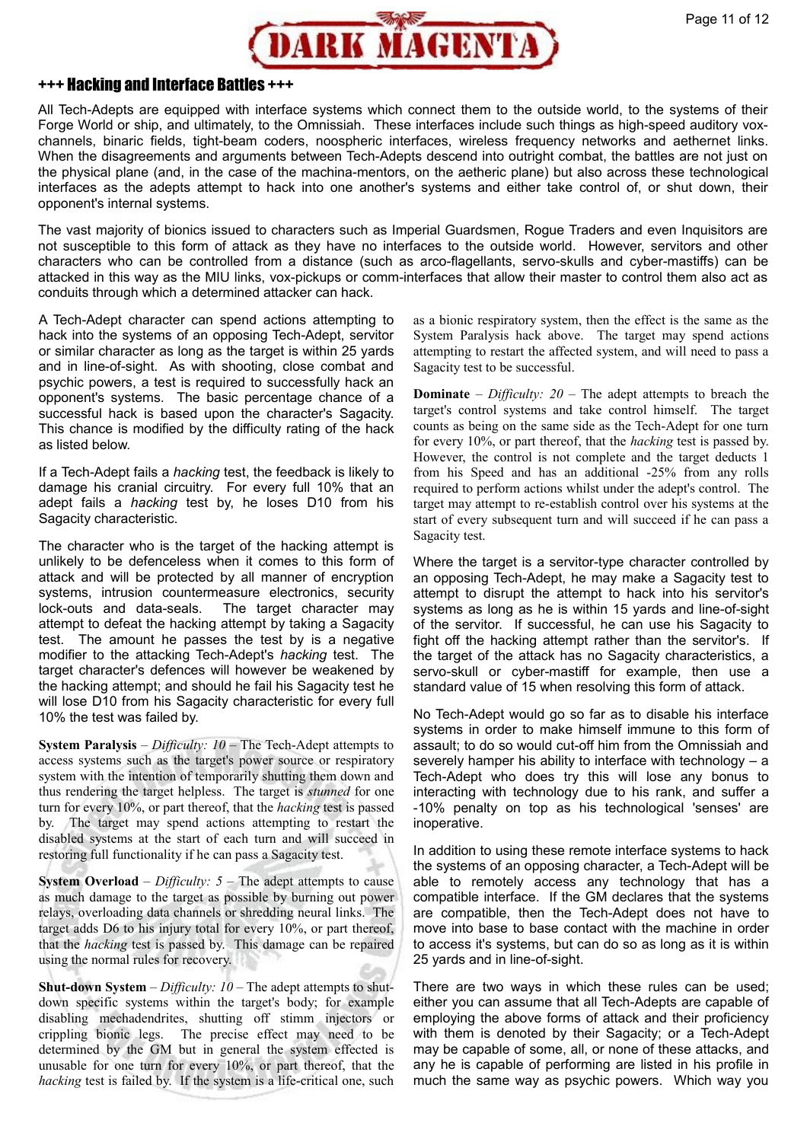

#### +++ Hacking and Interface Battles +++

All Tech-Adepts are equipped with interface systems which connect them to the outside world, to the systems of their Forge World or ship, and ultimately, to the Omnissiah. These interfaces include such things as high-speed auditory voxchannels, binaric fields, tight-beam coders, noospheric interfaces, wireless frequency networks and aethernet links. When the disagreements and arguments between Tech-Adepts descend into outright combat, the battles are not just on the physical plane (and, in the case of the machina-mentors, on the aetheric plane) but also across these technological interfaces as the adepts attempt to hack into one another's systems and either take control of, or shut down, their opponent's internal systems.

The vast majority of bionics issued to characters such as Imperial Guardsmen, Rogue Traders and even Inquisitors are not susceptible to this form of attack as they have no interfaces to the outside world. However, servitors and other characters who can be controlled from a distance (such as arco-flagellants, servo-skulls and cyber-mastiffs) can be attacked in this way as the MIU links, vox-pickups or comm-interfaces that allow their master to control them also act as conduits through which a determined attacker can hack.

A Tech-Adept character can spend actions attempting to hack into the systems of an opposing Tech-Adept, servitor or similar character as long as the target is within 25 yards and in line-of-sight. As with shooting, close combat and psychic powers, a test is required to successfully hack an opponent's systems. The basic percentage chance of a successful hack is based upon the character's Sagacity. This chance is modified by the difficulty rating of the hack as listed below.

If a Tech-Adept fails a *hacking* test, the feedback is likely to damage his cranial circuitry. For every full 10% that an adept fails a *hacking* test by, he loses D10 from his Sagacity characteristic.

The character who is the target of the hacking attempt is unlikely to be defenceless when it comes to this form of attack and will be protected by all manner of encryption systems, intrusion countermeasure electronics, security lock-outs and data-seals. The target character may attempt to defeat the hacking attempt by taking a Sagacity test. The amount he passes the test by is a negative modifier to the attacking Tech-Adept's *hacking* test. The target character's defences will however be weakened by the hacking attempt; and should he fail his Sagacity test he will lose D10 from his Sagacity characteristic for every full 10% the test was failed by.

**System Paralysis** – *Difficulty: 10* – The Tech-Adept attempts to access systems such as the target's power source or respiratory system with the intention of temporarily shutting them down and thus rendering the target helpless. The target is *stunned* for one turn for every 10%, or part thereof, that the *hacking* test is passed by. The target may spend actions attempting to restart the disabled systems at the start of each turn and will succeed in restoring full functionality if he can pass a Sagacity test.

**System Overload** – *Difficulty:*  $5$  – The adept attempts to cause as much damage to the target as possible by burning out power relays, overloading data channels or shredding neural links. The target adds D6 to his injury total for every 10%, or part thereof, that the *hacking* test is passed by. This damage can be repaired using the normal rules for recovery.

**Shut-down System** – *Difficulty: 10* – The adept attempts to shutdown specific systems within the target's body; for example disabling mechadendrites, shutting off stimm injectors or crippling bionic legs. The precise effect may need to be determined by the GM but in general the system effected is unusable for one turn for every 10%, or part thereof, that the *hacking* test is failed by. If the system is a life-critical one, such as a bionic respiratory system, then the effect is the same as the System Paralysis hack above. The target may spend actions attempting to restart the affected system, and will need to pass a Sagacity test to be successful.

**Dominate** – *Difficulty: 20* – The adept attempts to breach the target's control systems and take control himself. The target counts as being on the same side as the Tech-Adept for one turn for every 10%, or part thereof, that the *hacking* test is passed by. However, the control is not complete and the target deducts 1 from his Speed and has an additional -25% from any rolls required to perform actions whilst under the adept's control. The target may attempt to re-establish control over his systems at the start of every subsequent turn and will succeed if he can pass a Sagacity test.

Where the target is a servitor-type character controlled by an opposing Tech-Adept, he may make a Sagacity test to attempt to disrupt the attempt to hack into his servitor's systems as long as he is within 15 yards and line-of-sight of the servitor. If successful, he can use his Sagacity to fight off the hacking attempt rather than the servitor's. If the target of the attack has no Sagacity characteristics, a servo-skull or cyber-mastiff for example, then use a standard value of 15 when resolving this form of attack.

No Tech-Adept would go so far as to disable his interface systems in order to make himself immune to this form of assault; to do so would cut-off him from the Omnissiah and severely hamper his ability to interface with technology – a Tech-Adept who does try this will lose any bonus to interacting with technology due to his rank, and suffer a -10% penalty on top as his technological 'senses' are inoperative.

In addition to using these remote interface systems to hack the systems of an opposing character, a Tech-Adept will be able to remotely access any technology that has a compatible interface. If the GM declares that the systems are compatible, then the Tech-Adept does not have to move into base to base contact with the machine in order to access it's systems, but can do so as long as it is within 25 yards and in line-of-sight.

There are two ways in which these rules can be used; either you can assume that all Tech-Adepts are capable of employing the above forms of attack and their proficiency with them is denoted by their Sagacity; or a Tech-Adept may be capable of some, all, or none of these attacks, and any he is capable of performing are listed in his profile in much the same way as psychic powers. Which way you